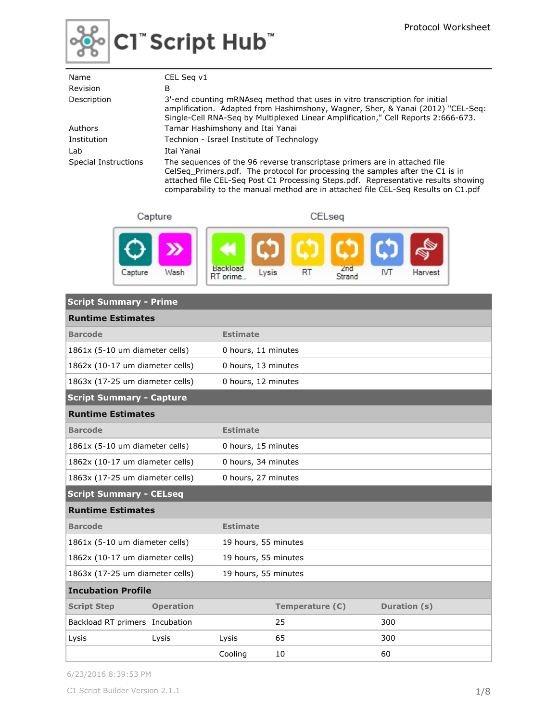

# C1" Script Hub"

| Name                 | CEL Seg v1                                                                                                                                                                                                                                                                                                                              |
|----------------------|-----------------------------------------------------------------------------------------------------------------------------------------------------------------------------------------------------------------------------------------------------------------------------------------------------------------------------------------|
| <b>Revision</b>      | B                                                                                                                                                                                                                                                                                                                                       |
| Description          | 3'-end counting mRNAseg method that uses in vitro transcription for initial<br>amplification. Adapted from Hashimshony, Wagner, Sher, & Yanai (2012) "CEL-Seq:<br>Single-Cell RNA-Seg by Multiplexed Linear Amplification," Cell Reports 2:666-673.                                                                                     |
| Authors              | Tamar Hashimshony and Itai Yanai                                                                                                                                                                                                                                                                                                        |
| Institution          | Technion - Israel Institute of Technology                                                                                                                                                                                                                                                                                               |
| Lab                  | Itai Yanai                                                                                                                                                                                                                                                                                                                              |
| Special Instructions | The sequences of the 96 reverse transcriptase primers are in attached file<br>CelSeg Primers.pdf. The protocol for processing the samples after the C1 is in<br>attached file CEL-Seg Post C1 Processing Steps.pdf. Representative results showing<br>comparability to the manual method are in attached file CEL-Seg Results on C1.pdf |

Capture

CELseq



| <b>Script Summary - Prime</b>     |                                                        |                      |                 |                     |  |  |
|-----------------------------------|--------------------------------------------------------|----------------------|-----------------|---------------------|--|--|
| <b>Runtime Estimates</b>          |                                                        |                      |                 |                     |  |  |
| <b>Barcode</b>                    |                                                        | <b>Estimate</b>      |                 |                     |  |  |
| 1861x (5-10 um diameter cells)    |                                                        | 0 hours, 11 minutes  |                 |                     |  |  |
| 1862x (10-17 um diameter cells)   |                                                        | 0 hours, 13 minutes  |                 |                     |  |  |
| 1863x (17-25 um diameter cells)   |                                                        | 0 hours, 12 minutes  |                 |                     |  |  |
| <b>Script Summary - Capture</b>   |                                                        |                      |                 |                     |  |  |
| <b>Runtime Estimates</b>          |                                                        |                      |                 |                     |  |  |
| <b>Barcode</b><br><b>Estimate</b> |                                                        |                      |                 |                     |  |  |
|                                   | 1861x (5-10 um diameter cells)<br>0 hours, 15 minutes  |                      |                 |                     |  |  |
|                                   | 1862x (10-17 um diameter cells)<br>0 hours, 34 minutes |                      |                 |                     |  |  |
| 1863x (17-25 um diameter cells)   |                                                        | 0 hours, 27 minutes  |                 |                     |  |  |
| <b>Script Summary - CELseq</b>    |                                                        |                      |                 |                     |  |  |
| <b>Runtime Estimates</b>          |                                                        |                      |                 |                     |  |  |
| <b>Barcode</b>                    |                                                        | <b>Estimate</b>      |                 |                     |  |  |
| 1861x (5-10 um diameter cells)    |                                                        | 19 hours, 55 minutes |                 |                     |  |  |
| 1862x (10-17 um diameter cells)   |                                                        | 19 hours, 55 minutes |                 |                     |  |  |
| 1863x (17-25 um diameter cells)   |                                                        | 19 hours, 55 minutes |                 |                     |  |  |
| <b>Incubation Profile</b>         |                                                        |                      |                 |                     |  |  |
| <b>Script Step</b>                | <b>Operation</b>                                       |                      | Temperature (C) | <b>Duration (s)</b> |  |  |
| Backload RT primers Incubation    |                                                        |                      | 25              | 300                 |  |  |
| Lysis                             | Lysis                                                  | Lysis                | 65              | 300                 |  |  |
|                                   |                                                        | Cooling              | 10              | 60                  |  |  |

6/23/2016 8:39:53 PM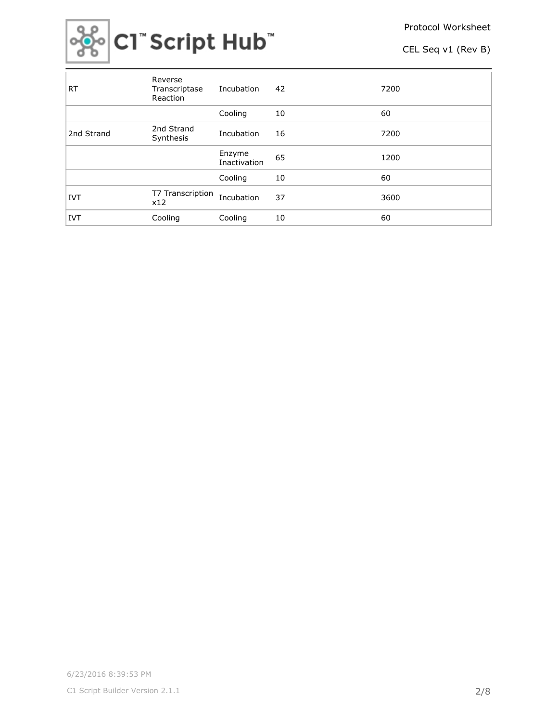

| <b>RT</b>  | Reverse<br>Transcriptase<br>Reaction | Incubation             | 42 | 7200 |
|------------|--------------------------------------|------------------------|----|------|
|            |                                      | Cooling                | 10 | 60   |
| 2nd Strand | 2nd Strand<br>Synthesis              | Incubation             | 16 | 7200 |
|            |                                      | Enzyme<br>Inactivation | 65 | 1200 |
|            |                                      | Cooling                | 10 | 60   |
| <b>IVT</b> | T7 Transcription<br>x12              | Incubation             | 37 | 3600 |
| <b>IVT</b> | Cooling                              | Cooling                | 10 | 60   |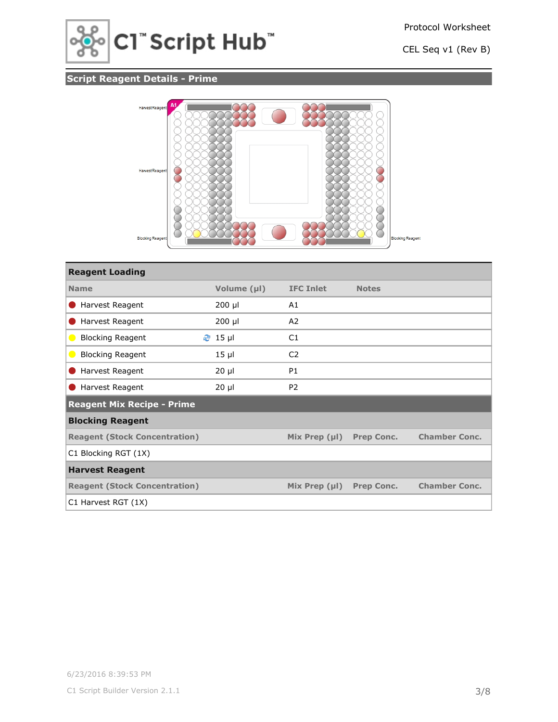

## **Script Reagent Details - Prime**



| <b>Reagent Loading</b>               |             |                    |                   |                      |
|--------------------------------------|-------------|--------------------|-------------------|----------------------|
| <b>Name</b>                          | Volume (µl) | <b>IFC Inlet</b>   | <b>Notes</b>      |                      |
| Harvest Reagent                      | $200$ µl    | A1                 |                   |                      |
| Harvest Reagent                      | $200$ µl    | A2                 |                   |                      |
| <b>Blocking Reagent</b>              | $2$ 15 µl   | C1                 |                   |                      |
| <b>Blocking Reagent</b>              | $15$ $\mu$  | C <sub>2</sub>     |                   |                      |
| Harvest Reagent                      | $20 \mu$    | <b>P1</b>          |                   |                      |
| Harvest Reagent                      | $20 \mu$    | P <sub>2</sub>     |                   |                      |
| <b>Reagent Mix Recipe - Prime</b>    |             |                    |                   |                      |
| <b>Blocking Reagent</b>              |             |                    |                   |                      |
| <b>Reagent (Stock Concentration)</b> |             | Mix Prep $(\mu I)$ | <b>Prep Conc.</b> | <b>Chamber Conc.</b> |
| C1 Blocking RGT (1X)                 |             |                    |                   |                      |
| <b>Harvest Reagent</b>               |             |                    |                   |                      |
| <b>Reagent (Stock Concentration)</b> |             | Mix Prep $(\mu I)$ | <b>Prep Conc.</b> | <b>Chamber Conc.</b> |
| C1 Harvest RGT (1X)                  |             |                    |                   |                      |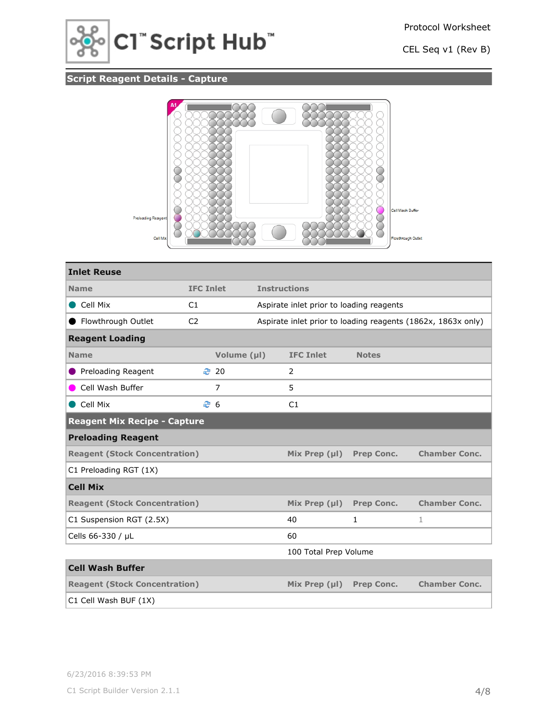

## **Script Reagent Details - Capture**



| <b>Inlet Reuse</b>                   |                  |             |                     |                                          |                   |                                                              |  |
|--------------------------------------|------------------|-------------|---------------------|------------------------------------------|-------------------|--------------------------------------------------------------|--|
| <b>Name</b>                          | <b>IFC Inlet</b> |             | <b>Instructions</b> |                                          |                   |                                                              |  |
| Cell Mix                             | C1               |             |                     | Aspirate inlet prior to loading reagents |                   |                                                              |  |
| Flowthrough Outlet                   | C <sub>2</sub>   |             |                     |                                          |                   | Aspirate inlet prior to loading reagents (1862x, 1863x only) |  |
| <b>Reagent Loading</b>               |                  |             |                     |                                          |                   |                                                              |  |
| <b>Name</b>                          |                  | Volume (µl) |                     | <b>IFC Inlet</b>                         | <b>Notes</b>      |                                                              |  |
| Preloading Reagent                   |                  | ₹ 20        |                     | 2                                        |                   |                                                              |  |
| Cell Wash Buffer                     |                  | 7           |                     | 5                                        |                   |                                                              |  |
| Cell Mix                             |                  | ළ 6         |                     | C1                                       |                   |                                                              |  |
| <b>Reagent Mix Recipe - Capture</b>  |                  |             |                     |                                          |                   |                                                              |  |
| <b>Preloading Reagent</b>            |                  |             |                     |                                          |                   |                                                              |  |
| <b>Reagent (Stock Concentration)</b> |                  |             |                     | Mix Prep $(\mu I)$                       | <b>Prep Conc.</b> | <b>Chamber Conc.</b>                                         |  |
| C1 Preloading RGT (1X)               |                  |             |                     |                                          |                   |                                                              |  |
| <b>Cell Mix</b>                      |                  |             |                     |                                          |                   |                                                              |  |
| <b>Reagent (Stock Concentration)</b> |                  |             |                     | Mix Prep $(\mu I)$                       | <b>Prep Conc.</b> | <b>Chamber Conc.</b>                                         |  |
| C1 Suspension RGT (2.5X)             |                  |             |                     | 40                                       | $\mathbf{1}$      | $\mathbf{1}$                                                 |  |
| Cells 66-330 / µL                    |                  |             |                     | 60                                       |                   |                                                              |  |
|                                      |                  |             |                     | 100 Total Prep Volume                    |                   |                                                              |  |
| <b>Cell Wash Buffer</b>              |                  |             |                     |                                          |                   |                                                              |  |
| <b>Reagent (Stock Concentration)</b> |                  |             |                     | Mix Prep $(\mu I)$                       | <b>Prep Conc.</b> | <b>Chamber Conc.</b>                                         |  |
| C1 Cell Wash BUF (1X)                |                  |             |                     |                                          |                   |                                                              |  |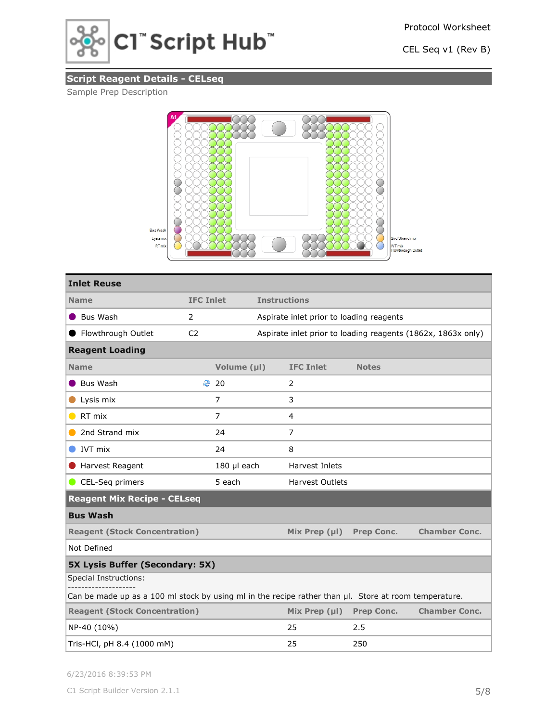

## **Script Reagent Details - CELseq**

## Sample Prep Description



| <b>Inlet Reuse</b>                                                                                    |                  |             |                     |                                          |                   |                                                              |
|-------------------------------------------------------------------------------------------------------|------------------|-------------|---------------------|------------------------------------------|-------------------|--------------------------------------------------------------|
| <b>Name</b>                                                                                           | <b>IFC Inlet</b> |             | <b>Instructions</b> |                                          |                   |                                                              |
| Bus Wash                                                                                              | 2                |             |                     | Aspirate inlet prior to loading reagents |                   |                                                              |
| Flowthrough Outlet                                                                                    | C <sub>2</sub>   |             |                     |                                          |                   | Aspirate inlet prior to loading reagents (1862x, 1863x only) |
| <b>Reagent Loading</b>                                                                                |                  |             |                     |                                          |                   |                                                              |
| <b>Name</b>                                                                                           |                  | Volume (µl) |                     | <b>IFC Inlet</b>                         | <b>Notes</b>      |                                                              |
| Bus Wash                                                                                              |                  | ₹ 20        |                     | 2                                        |                   |                                                              |
| Lysis mix                                                                                             |                  | 7           |                     | 3                                        |                   |                                                              |
| $\bullet$ RT mix                                                                                      |                  | 7           |                     | 4                                        |                   |                                                              |
| 2nd Strand mix                                                                                        |                  | 24          |                     | 7                                        |                   |                                                              |
| IVT mix                                                                                               |                  | 24          |                     | 8                                        |                   |                                                              |
| Harvest Reagent                                                                                       |                  | 180 µl each |                     | Harvest Inlets                           |                   |                                                              |
| CEL-Seq primers                                                                                       |                  | 5 each      |                     | <b>Harvest Outlets</b>                   |                   |                                                              |
| <b>Reagent Mix Recipe - CELseq</b>                                                                    |                  |             |                     |                                          |                   |                                                              |
| <b>Bus Wash</b>                                                                                       |                  |             |                     |                                          |                   |                                                              |
| <b>Reagent (Stock Concentration)</b>                                                                  |                  |             |                     | Mix Prep $(\mu I)$                       | <b>Prep Conc.</b> | <b>Chamber Conc.</b>                                         |
| Not Defined                                                                                           |                  |             |                     |                                          |                   |                                                              |
| <b>5X Lysis Buffer (Secondary: 5X)</b>                                                                |                  |             |                     |                                          |                   |                                                              |
| Special Instructions:                                                                                 |                  |             |                     |                                          |                   |                                                              |
| Can be made up as a 100 ml stock by using ml in the recipe rather than µl. Store at room temperature. |                  |             |                     |                                          |                   |                                                              |
| <b>Reagent (Stock Concentration)</b>                                                                  |                  |             |                     | Mix Prep $(\mu I)$                       | <b>Prep Conc.</b> | <b>Chamber Conc.</b>                                         |
| NP-40 (10%)                                                                                           |                  |             |                     | 25                                       | 2.5               |                                                              |
| Tris-HCl, pH 8.4 (1000 mM)                                                                            |                  |             |                     | 25                                       | 250               |                                                              |

6/23/2016 8:39:53 PM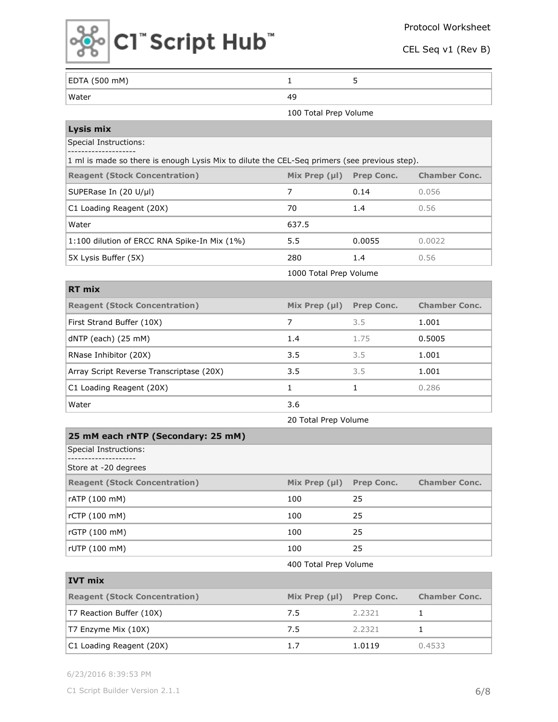

| EDTA (500 mM)                                                                                | $\mathbf{1}$             | 5                 |                      |  |  |
|----------------------------------------------------------------------------------------------|--------------------------|-------------------|----------------------|--|--|
| Water                                                                                        | 49                       |                   |                      |  |  |
|                                                                                              | 100 Total Prep Volume    |                   |                      |  |  |
| <b>Lysis mix</b>                                                                             |                          |                   |                      |  |  |
| <b>Special Instructions:</b>                                                                 |                          |                   |                      |  |  |
| 1 ml is made so there is enough Lysis Mix to dilute the CEL-Seq primers (see previous step). |                          |                   |                      |  |  |
| <b>Reagent (Stock Concentration)</b>                                                         | Mix Prep $(\mu I)$       | <b>Prep Conc.</b> | <b>Chamber Conc.</b> |  |  |
| SUPERase In (20 U/µl)                                                                        | 7                        | 0.14              | 0.056                |  |  |
| C1 Loading Reagent (20X)                                                                     | 70                       | 1.4               | 0.56                 |  |  |
| Water                                                                                        | 637.5                    |                   |                      |  |  |
| 1:100 dilution of ERCC RNA Spike-In Mix (1%)                                                 | 5.5                      | 0.0055            | 0.0022               |  |  |
| 5X Lysis Buffer (5X)                                                                         | 280                      | 1.4               | 0.56                 |  |  |
|                                                                                              | 1000 Total Prep Volume   |                   |                      |  |  |
| <b>RT mix</b>                                                                                |                          |                   |                      |  |  |
| <b>Reagent (Stock Concentration)</b>                                                         | Mix Prep $(\mu I)$       | Prep Conc.        | <b>Chamber Conc.</b> |  |  |
| First Strand Buffer (10X)                                                                    | 7                        | 3.5               | 1.001                |  |  |
| dNTP (each) (25 mM)                                                                          | 1.4                      | 1.75              | 0.5005               |  |  |
| RNase Inhibitor (20X)                                                                        | 3.5                      | 3.5               | 1.001                |  |  |
| Array Script Reverse Transcriptase (20X)                                                     | 3.5                      | 3.5               | 1.001                |  |  |
| C1 Loading Reagent (20X)                                                                     | $\mathbf{1}$             | 1                 | 0.286                |  |  |
| Water                                                                                        | 3.6                      |                   |                      |  |  |
|                                                                                              | 20 Total Prep Volume     |                   |                      |  |  |
| 25 mM each rNTP (Secondary: 25 mM)                                                           |                          |                   |                      |  |  |
| Special Instructions:                                                                        |                          |                   |                      |  |  |
| Store at -20 degrees                                                                         |                          |                   |                      |  |  |
| <b>Reagent (Stock Concentration)</b>                                                         | Mix Prep (µl) Prep Conc. |                   | <b>Chamber Conc.</b> |  |  |
| rATP (100 mM)                                                                                | 100                      | 25                |                      |  |  |
| rCTP (100 mM)                                                                                | 100                      | 25                |                      |  |  |
| rGTP (100 mM)                                                                                | 100                      | 25                |                      |  |  |
| rUTP (100 mM)                                                                                | 100                      | 25                |                      |  |  |
|                                                                                              | 400 Total Prep Volume    |                   |                      |  |  |
| <b>IVT mix</b>                                                                               |                          |                   |                      |  |  |
| <b>Reagent (Stock Concentration)</b>                                                         | Mix Prep (µl)            | Prep Conc.        | <b>Chamber Conc.</b> |  |  |
| T7 Reaction Buffer (10X)                                                                     | 7.5                      | 2.2321            | $\mathbf{1}$         |  |  |
| T7 Enzyme Mix (10X)                                                                          | 7.5                      | 2.2321            | $\mathbf{1}$         |  |  |
| C1 Loading Reagent (20X)                                                                     | 1.7                      | 1.0119            | 0.4533               |  |  |

6/23/2016 8:39:53 PM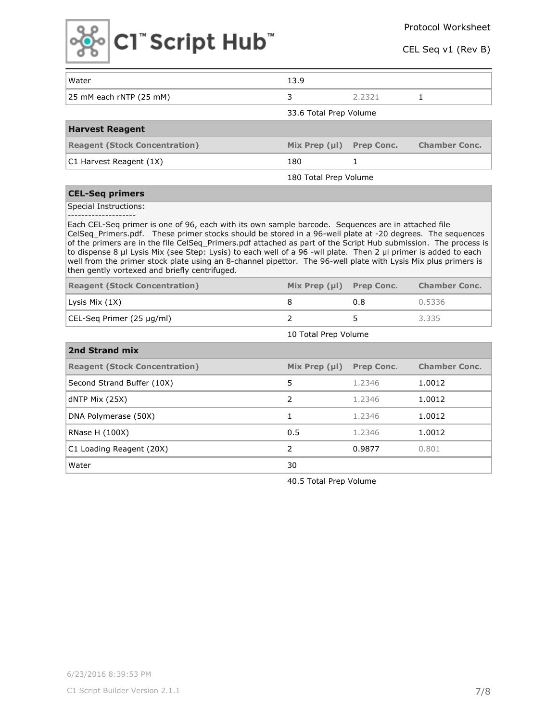

| Water                                | 13.9                   |                   |                      |
|--------------------------------------|------------------------|-------------------|----------------------|
| 25 mM each rNTP (25 mM)              | 3                      | 2.2321            |                      |
|                                      | 33.6 Total Prep Volume |                   |                      |
| <b>Harvest Reagent</b>               |                        |                   |                      |
| <b>Reagent (Stock Concentration)</b> | Mix Prep $(\mu I)$     | <b>Prep Conc.</b> | <b>Chamber Conc.</b> |
| C1 Harvest Reagent (1X)              | 180                    |                   |                      |
|                                      | 180 Total Prep Volume  |                   |                      |

### **CEL-Seq primers**

Special Instructions:

--------------------

Each CEL-Seq primer is one of 96, each with its own sample barcode. Sequences are in attached file CelSeq\_Primers.pdf. These primer stocks should be stored in a 96-well plate at -20 degrees. The sequences of the primers are in the file CelSeq\_Primers.pdf attached as part of the Script Hub submission. The process is to dispense 8 µl Lysis Mix (see Step: Lysis) to each well of a 96 -wll plate. Then 2 µl primer is added to each well from the primer stock plate using an 8-channel pipettor. The 96-well plate with Lysis Mix plus primers is then gently vortexed and briefly centrifuged.

| <b>Reagent (Stock Concentration)</b> | $Mix$ Prep $(µI)$ Prep Conc. |     | <b>Chamber Conc.</b> |
|--------------------------------------|------------------------------|-----|----------------------|
| Lysis Mix (1X)                       |                              | 0.8 | 0.5336               |
| CEL-Seg Primer (25 µg/ml)            |                              |     | 3.335                |

| 2nd Strand mix                       |                    |                   |                      |
|--------------------------------------|--------------------|-------------------|----------------------|
| <b>Reagent (Stock Concentration)</b> | Mix Prep $(\mu I)$ | <b>Prep Conc.</b> | <b>Chamber Conc.</b> |
| Second Strand Buffer (10X)           | 5                  | 1.2346            | 1.0012               |
| $d$ NTP Mix $(25X)$                  | 2                  | 1.2346            | 1.0012               |
| DNA Polymerase (50X)                 |                    | 1.2346            | 1.0012               |
| RNase H (100X)                       | 0.5                | 1.2346            | 1.0012               |
| C1 Loading Reagent (20X)             | $\mathcal{P}$      | 0.9877            | 0.801                |
| Water                                | 30                 |                   |                      |

40.5 Total Prep Volume

10 Total Prep Volume